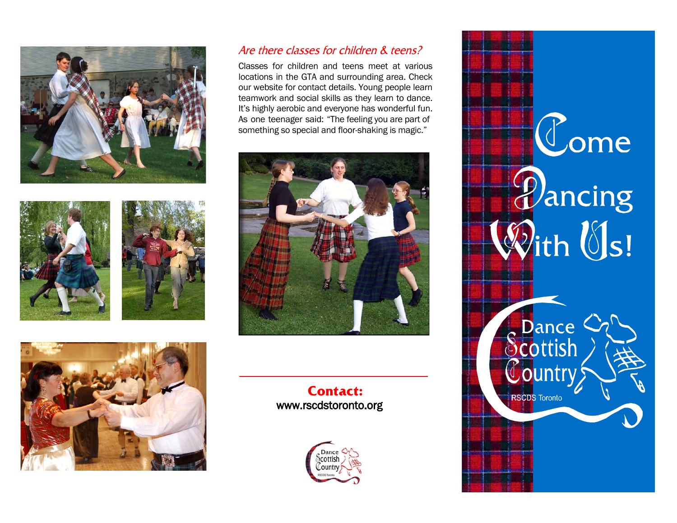







## Are there classes for children & teens?

Classes for children and teens meet at various locations in the GTA and surrounding area. Check our website for contact details. Young people learn teamwork and social skills as they learn to dance. It's highly aerobic and everyone has wonderful fun. As one teenager said: "The feeling you are part of something so special and floor-shaking is magic."



**Contact:** www.rscdstoronto.org



Come<br>*Pancing*<br>With Us! Soutish<br>Scottish<br>Country **RSCDS Toronto**